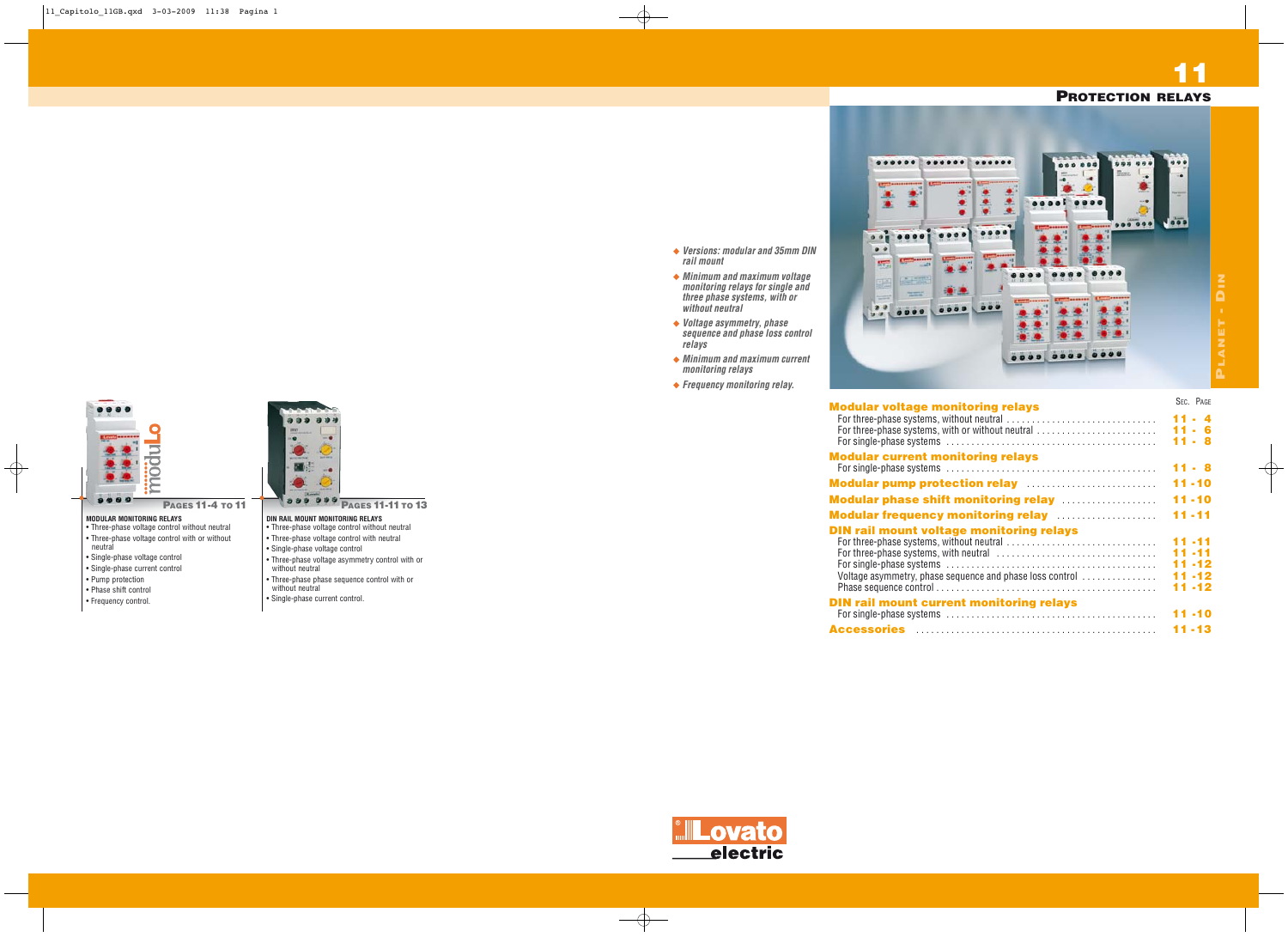| nitoring relays                                                                                                       | SEC. PAGE                        |
|-----------------------------------------------------------------------------------------------------------------------|----------------------------------|
| th or without neutral $\ldots, \ldots, \ldots, \ldots, \ldots, \ldots$                                                | $11 - 4$<br>$11 - 6$<br>$11 - 8$ |
| <b>nitoring relays</b>                                                                                                |                                  |
|                                                                                                                       | $11 - 8$                         |
| ction relay <b>continuum</b> ction relationships and the continuum                                                    | $11 - 10$                        |
| monitoring relay <b>container and the monitoring</b>                                                                  | $11 - 10$                        |
| nonitoring relay <b>constructs</b> in the set of the set of the set of the set of the set of the set of the set of th | $11 - 11$                        |
| ge monitoring relays                                                                                                  |                                  |
|                                                                                                                       | $11 - 11$                        |
| $\mathsf{in\ } \mathsf{neutral}\ \ldots \ldots \ldots \ldots \ldots \ldots \ldots \ldots \ldots \ldots$               | $11 - 11$<br>$11 - 12$           |
| $square$ and phase loss control $\ldots \ldots \ldots \ldots$                                                         | $11 - 12$                        |
|                                                                                                                       | 11 - 12                          |
| nt monitoring relays                                                                                                  |                                  |
|                                                                                                                       |                                  |
|                                                                                                                       | $11 - 13$                        |
|                                                                                                                       |                                  |



- 
- Single-phase current control
- Pump protection
- Phase shift control
- Frequency control.

## **DIN RAIL MOUNT MONITORING RELAYS**

- Three-phase voltage control with neutral
- Single-phase voltage control
- Three-phase voltage asymmetry control with or without neutral
- Three-phase phase sequence control with or without neutral
- Single-phase current control.



# **PAGES 11-11 TO 13**

**11**

- **Versions: modular and 35mm DIN rail mount**
- **Minimum and maximum voltage monitoring relays for single and three phase systems, with or without neutral**
- **Voltage asymmetry, phase sequence and phase loss control relays**
- **Minimum and maximum current monitoring relays**
- **Frequency monitoring relay.**

# **PROTECTION RELAYS**



**Modular voltage mon** For three-phase systems, with For three-phase systems, with For single-phase systems . .

**Modular current mon** For single-phase systems .

**Modular pump proted Modular phase shift** 

# **Modular frequency m**

# **DIN rail mount voltage**

For three-phase systems, with For three-phase systems, with For single-phase systems . . Voltage asymmetry, phase se Phase sequence control . . . .

#### **DIN rail mount current** For single-phase systems .

**Accessories** . . . . . . . . . . . . . . . . . . . . . . . . . . . . . . . . . . . . . . . . . . . . . . . . **11 -13**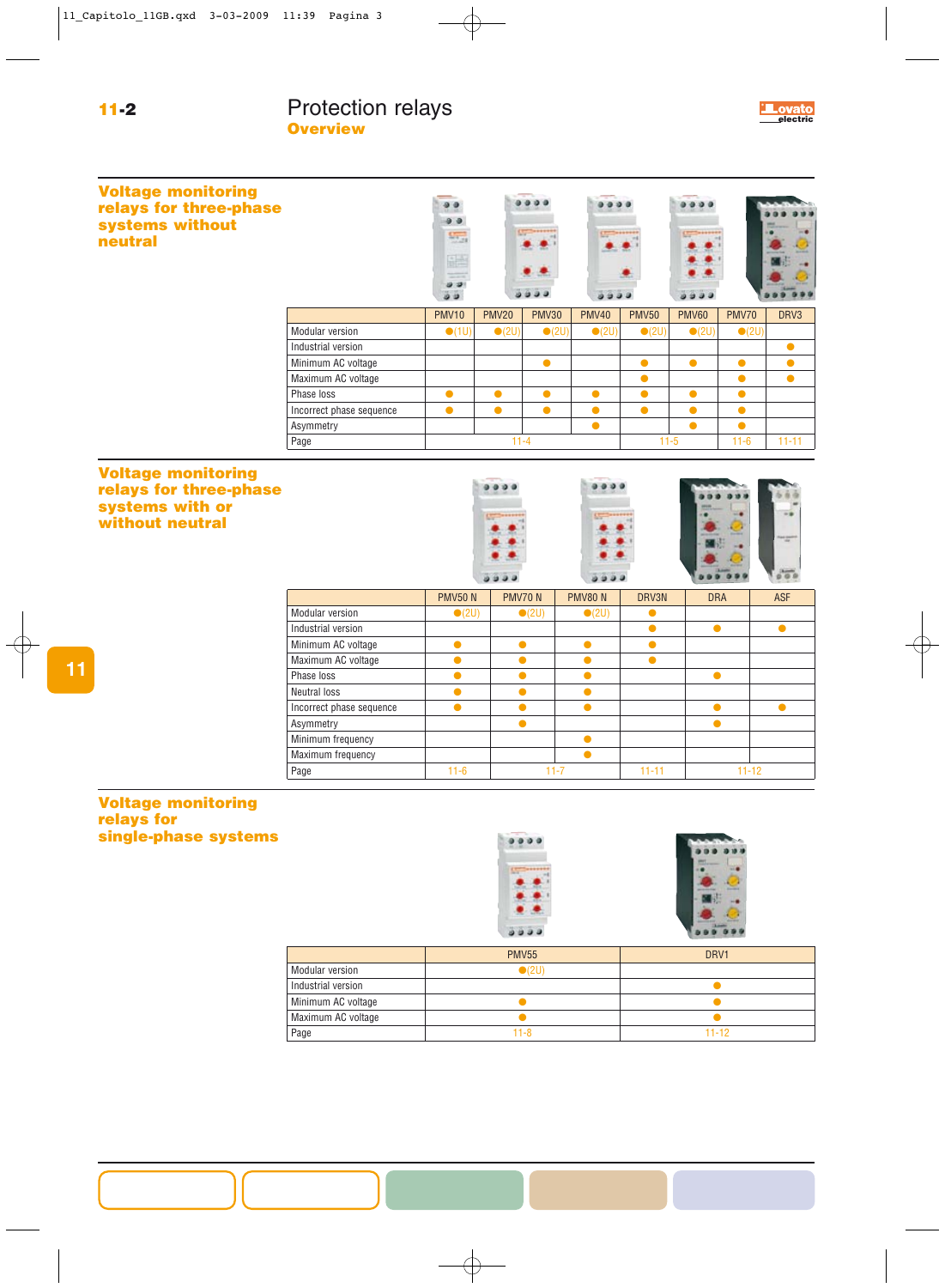

| <b>Voltage monitoring</b><br>relays for three-phase<br>systems without<br>neutral |                          | $\partial$<br>鵛<br>品<br>$\equiv$<br>9.9<br>ن ن |                | 0.0.0          | ن و            |                |                |                |            |
|-----------------------------------------------------------------------------------|--------------------------|------------------------------------------------|----------------|----------------|----------------|----------------|----------------|----------------|------------|
|                                                                                   |                          | <b>PMV10</b>                                   | <b>PMV20</b>   | <b>PMV30</b>   | <b>PMV40</b>   | <b>PMV50</b>   | <b>PMV60</b>   | <b>PMV70</b>   | DRV3       |
|                                                                                   | <b>Modular version</b>   | $\bullet$ (1U)                                 | $\bullet$ (2U) | $\bullet$ (2U) | $\bullet$ (2U) | $\bullet$ (2U) | $\bullet$ (2U) | $\bullet$ (2U) |            |
|                                                                                   | Industrial version       |                                                |                |                |                |                |                |                | $\bullet$  |
|                                                                                   | Minimum AC voltage       |                                                |                | $\bullet$      |                | $\bullet$      | $\bullet$      | $\bullet$      | $\bullet$  |
|                                                                                   | Maximum AC voltage       |                                                |                |                |                | $\bullet$      |                | $\bullet$      | $\bullet$  |
|                                                                                   | Phase loss               | $\bullet$                                      | $\bullet$      | $\bullet$      | $\bullet$      | $\bullet$      | $\bullet$      | $\bullet$      |            |
|                                                                                   | Incorrect phase sequence | $\bullet$                                      | $\bullet$      | $\bullet$      | $\bullet$      | $\bullet$      | $\bullet$      | $\bullet$      |            |
|                                                                                   | Asymmetry                |                                                |                |                | $\bullet$      |                | $\bullet$      | $\bullet$      |            |
|                                                                                   | Page                     |                                                | $11 - 4$       |                |                |                | $11-5$         | $11 - 6$       | $11 - 11$  |
| relays for three-phase<br>systems with or<br>without neutral                      |                          |                                                | 0.9.9.0        |                | 0.9.9.9        |                |                |                |            |
|                                                                                   |                          | <b>PMV50 N</b>                                 | <b>PMV70 N</b> |                | <b>PMV80 N</b> | DRV3N          | <b>DRA</b>     |                | <b>ASF</b> |
|                                                                                   | Modular version          | $\bullet$ (2U)                                 |                | $\bullet$ (2U) | $\bullet$ (2U) | $\bullet$      |                |                |            |
|                                                                                   | Industrial version       |                                                |                |                |                | $\bullet$      | $\bullet$      |                | $\bullet$  |
|                                                                                   | Minimum AC voltage       | $\bullet$                                      | $\bullet$      |                | $\bullet$      | $\bullet$      |                |                |            |
|                                                                                   | Maximum AC voltage       | $\bullet$                                      | $\bullet$      |                | $\bullet$      | $\bullet$      |                |                |            |
|                                                                                   | Phase loss               | $\bullet$                                      | $\bullet$      |                | $\bullet$      |                | $\bullet$      |                |            |
|                                                                                   | Neutral loss             | $\bullet$                                      | $\bullet$      |                | $\bullet$      |                |                |                |            |
|                                                                                   | Incorrect phase sequence | $\bullet$                                      | $\bullet$      |                | $\bullet$      |                | $\bullet$      |                | $\bullet$  |
|                                                                                   | Asymmetry                |                                                | $\bullet$      |                |                |                | $\bullet$      |                |            |
|                                                                                   | Minimum frequency        |                                                |                |                | $\bullet$      |                |                |                |            |

Maximum frequency ●

## **Voltage monitoring relays for single-phase systems**

Page 11-6 11-7 11-11 11-12



|                    | <b>PMV55</b>   | DRV1      |
|--------------------|----------------|-----------|
| Modular version    | $\bullet$ (2U) |           |
| Industrial version |                |           |
| Minimum AC voltage |                |           |
| Maximum AC voltage |                |           |
| Page               | $11 - 8$       | $11 - 12$ |
|                    |                |           |

**11**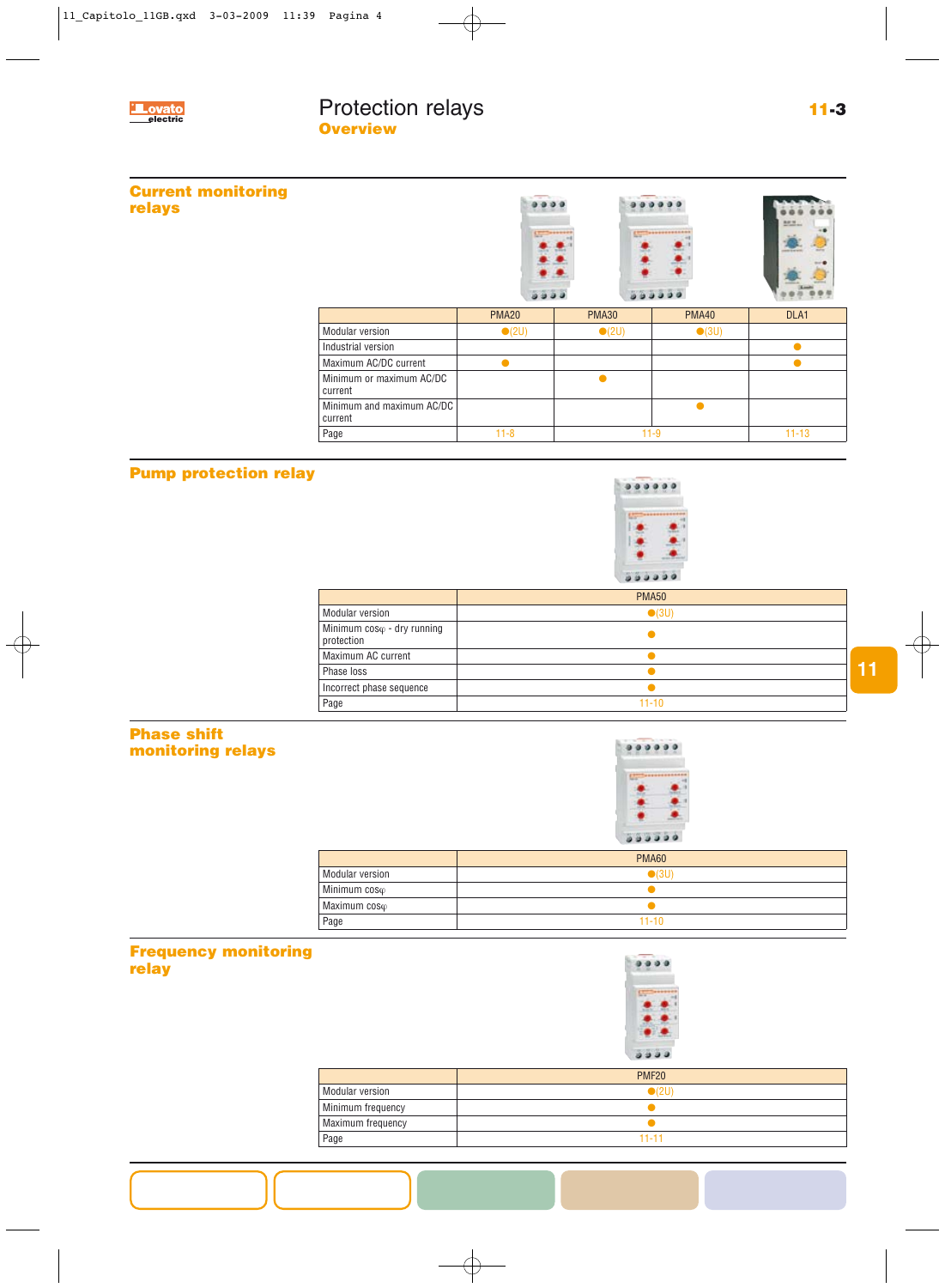#### Protection relays **Overview 11-3 electric**

# **Current monitoring relays**





|                                      |                |                | .              |                  |
|--------------------------------------|----------------|----------------|----------------|------------------|
|                                      | <b>PMA20</b>   | <b>PMA30</b>   | <b>PMA40</b>   | DLA <sub>1</sub> |
| Modular version                      | $\bullet$ (2U) | $\bullet$ (2U) | $\bullet$ (3U) |                  |
| Industrial version                   |                |                |                |                  |
| Maximum AC/DC current                |                |                |                |                  |
| Minimum or maximum AC/DC<br>current  |                |                |                |                  |
| Minimum and maximum AC/DC<br>current |                |                |                |                  |
| Page                                 | $11 - 8$       |                | 11-9           | $11 - 13$        |

# **Pump protection relay**



|                                                  | <b>PMA50</b>   |
|--------------------------------------------------|----------------|
| Modular version                                  | $\bullet$ (3U) |
| Minimum $cos\varphi$ - dry running<br>protection |                |
| Maximum AC current                               |                |
| Phase loss                                       |                |
| Incorrect phase sequence                         |                |
| Page                                             | $11 - 10$      |

## **Phase shift monitoring relays**



|                        | <b>PMA60</b>   |
|------------------------|----------------|
| <b>Modular version</b> | $\bullet$ (3U) |
| Minimum coso           |                |
| Maximum coso           |                |
| Page                   | $11 - 10$      |

## **Frequency monitoring relay**



|                   | <b>PMF20</b>   |
|-------------------|----------------|
| Modular version   | $\bullet$ (2U) |
| Minimum frequency |                |
| Maximum frequency |                |
| Page              | $11 - 11$      |
|                   |                |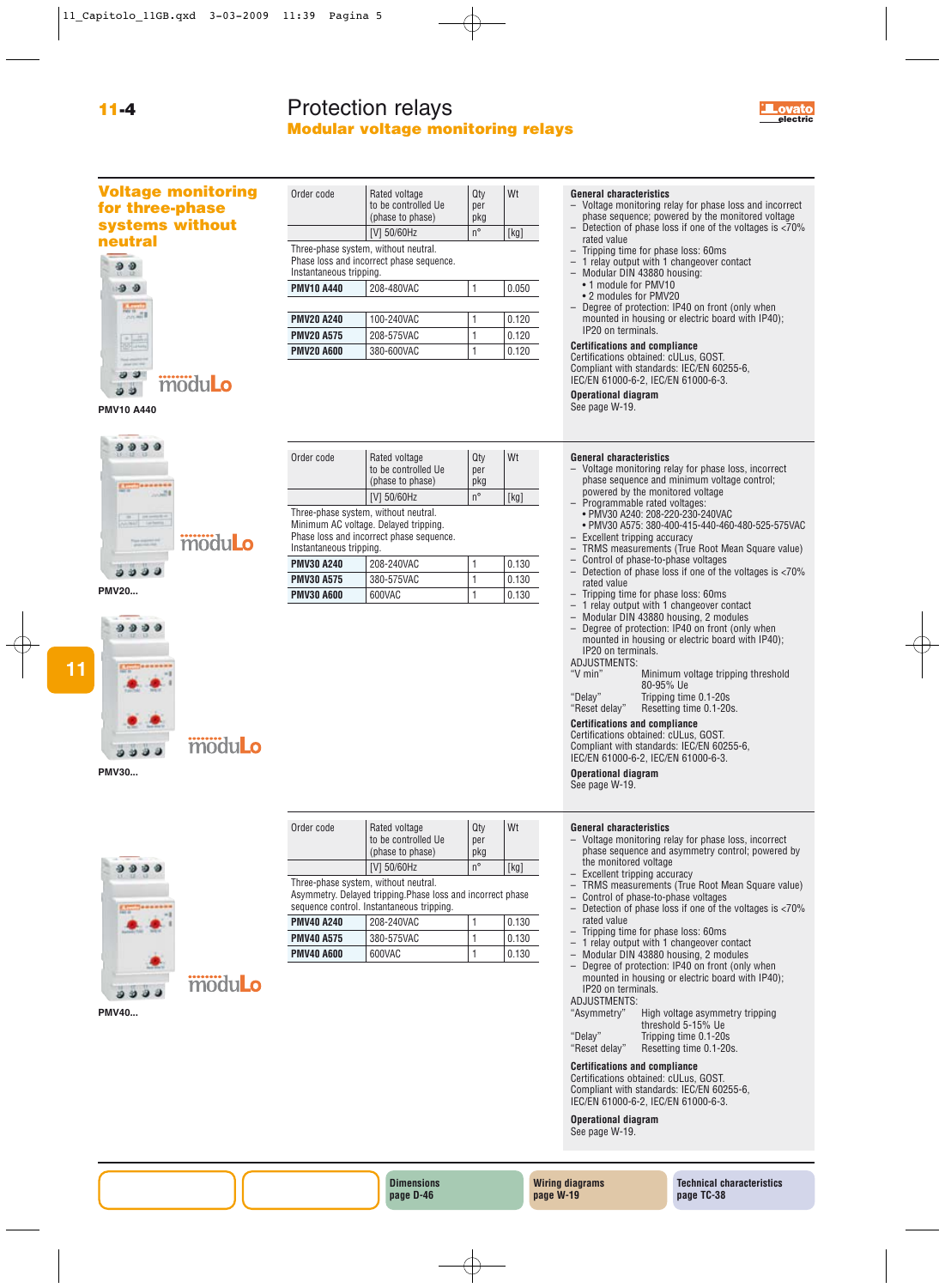# Protection relays **Modular voltage monitoring relays**





**11-4**



**PMV10 A440**

 $9999$ 

 $9999$ 

#### Order code Rated voltage Qty Wt to be controlled Ue  $\left[\begin{array}{cc} \overline{p} & \overline{p} \\ \overline{p} & \overline{p} \\ \overline{p} & \overline{p} \end{array}\right]$ (phase to phase) [V] 50/60Hz  $n^{\circ}$  [kg] Three-phase system, without neutral. Phase loss and incorrect phase sequence. Instantaneous tripping. **PMV10 A440** 208-480VAC 1 0.050 **PMV20 A240** 100-240VAC 1 0.120 **PMV20 A575** 208-575VAC 1 0.120

**PMV20 A600** 380-600VAC 1 0.120

Order code Rated voltage and Qty Wt to be controlled Ue  $\log$ (phase to phase)  $\log$  $[V]$  50/60Hz  $n^{\circ}$   $[kg]$ 

**PMV30 A240** 208-240VAC 1 0.130 **PMV30 A575** 380-575VAC 1 0.130 **PMV30 A600** 600VAC 1 0.130

Three-phase system, without neutral. Minimum AC voltage. Delayed tripping. Phase loss and incorrect phase sequence.

Instantaneous tripping.

#### **General characteristics**

- Voltage monitoring relay for phase loss and incorrect phase sequence; powered by the monitored voltage Detection of phase loss if one of the voltages is  $<70\%$ rated value
- Tripping time for phase loss: 60ms
- 1 relay output with 1 changeover contact
- Modular DIN 43880 housing:
	- 1 module for PMV10
- 2 modules for PMV20
- Degree of protection: IP40 on front (only when mounted in housing or electric board with IP40); IP20 on terminals.

#### **Certifications and compliance**

Certifications obtained: cULus, GOST. Compliant with standards: IEC/EN 60255-6, IEC/EN 61000-6-2, IEC/EN 61000-6-3.

**Operational diagram** See page W-19.

#### **General characteristics**

- Voltage monitoring relay for phase loss, incorrect phase sequence and minimum voltage control; powered by the monitored voltage
- Programmable rated voltages:
- PMV30 A240: 208-220-230-240VAC • PMV30 A575: 380-400-415-440-460-480-525-575VAC
- Excellent tripping accuracy – TRMS measurements (True Root Mean Square value)
- 
- Control of phase-to-phase voltages – Detection of phase loss if one of the voltages is <70% rated value
- Tripping time for phase loss: 60ms
- 1 relay output with 1 changeover contact
- Modular DIN 43880 housing, 2 modules
- Degree of protection: IP40 on front (only when mounted in housing or electric board with IP40); IP20 on terminals.

ADJUSTMENTS:<br>"V min" Minimum voltage tripping threshold 80-95% Ue

"Delay" Tripping time 0.1-20s Resetting time 0.1-20s.

#### **Certifications and compliance**

Certifications obtained: cULus, GOST. Compliant with standards: IEC/EN 60255-6, IEC/EN 61000-6-2, IEC/EN 61000-6-3.

**Operational diagram**

See page W-19.

#### **General characteristics**

- Voltage monitoring relay for phase loss, incorrect phase sequence and asymmetry control; powered by the monitored voltage
- Excellent tripping accuracy
- TRMS measurements (True Root Mean Square value)
- Control of phase-to-phase voltages<br>– Detection of phase loss if one of the
- Detection of phase loss if one of the voltages is <70% rated value
- Tripping time for phase loss: 60ms
- 1 relay output with 1 changeover contact
- Modular DIN 43880 housing, 2 modules
- Degree of protection: IP40 on front (only when mounted in housing or electric board with IP40); IP20 on terminals.

#### ADJUSTMENTS:

| "Asymmetry"   | High voltage asymmetry tripping |
|---------------|---------------------------------|
|               | threshold 5-15% Ue              |
| "Delay"       | Tripping time 0.1-20s           |
| "Reset delay" | Resetting time 0.1-20s.         |

#### **Certifications and compliance**

Certifications obtained: cULus, GOST. Compliant with standards: IEC/EN 60255-6, IEC/EN 61000-6-2, IEC/EN 61000-6-3.

**Operational diagram**

See page W-19.

modulo  $0000$ **PMV20...**



# modulo



| Order code | Rated voltage<br>to be controlled Ue<br>(phase to phase) | Qtv<br>per<br>pkg | Wt   |
|------------|----------------------------------------------------------|-------------------|------|
|            | [V] 50/60Hz                                              | n°                | [ka' |

| [V] 50/60Hz                                                | $n^{\circ}$ | [kg] |
|------------------------------------------------------------|-------------|------|
| Three-phase system, without neutral.                       |             |      |
| Asymmetry. Delayed tripping Phase loss and incorrect phase |             |      |
| sequence control. Instantaneous tripping.                  |             |      |

| <b>PMV40 A600</b> | 600VAC     | 0.130 |
|-------------------|------------|-------|
| <b>PMV40 A575</b> | 380-575VAC | 0.130 |
| <b>PMV40 A240</b> | 208-240VAC | 0.130 |

# modulo

#### **PMV40...**

#### **Dimensions page D-46**

#### **Wiring diagrams page W-19**

**Technical characteristics page TC-38**

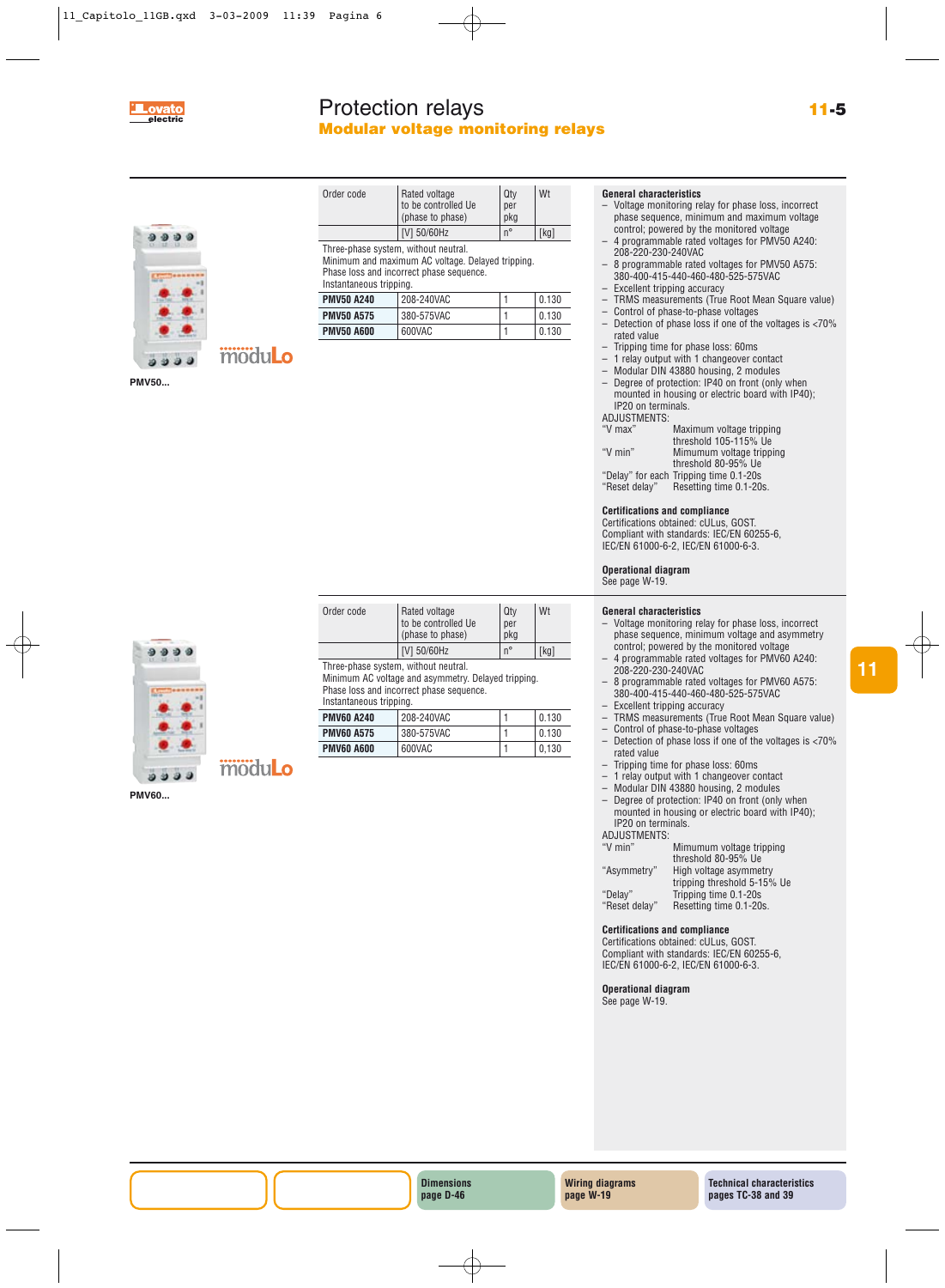

# Protection relays **11-5 electric Modular voltage monitoring relays**



**11**



| . . | . |  |  |
|-----|---|--|--|

| ۰.<br>×<br>۰,<br>× |
|--------------------|
|--------------------|

| Order code                         | Rated voltage<br>to be controlled Ue<br>(phase to phase) | Qty<br>per<br>pkg | Wt   |
|------------------------------------|----------------------------------------------------------|-------------------|------|
|                                    | [V] 50/60Hz                                              | n°                | [kg] |
| Throe phase evetem without noutral |                                                          |                   |      |

Three-phase system, without neutral. Minimum and maximum AC voltage. Delayed tripping. Phase loss and incorrect phase sequence.

| Instantaneous tripping. |            |  |       |
|-------------------------|------------|--|-------|
| <b>PMV50 A240</b>       | 208-240VAC |  | 0.130 |
| <b>PMV50 A575</b>       | 380-575VAC |  | 0.130 |
| <b>PMV50 A600</b>       | 600VAC     |  | 0.130 |

Order code Rated voltage Qty Wt

Minimum AC voltage and asymmetry. Delayed tripping.

**PMV60 A240** 208-240VAC 1 0.130 **PMV60 A575** 380-575VAC 1 0.130 **PMV60 A600** 600VAC 1 0,130

Three-phase system, without neutral.

Instantaneous tripping.

Phase loss and incorrect phase sequence.

to be controlled Ue  $\left[\begin{array}{cc} \text{per} \\ \text{phase to phase} \end{array}\right]$ (phase to phase)

[V] 50/60Hz  $\left| n^{\circ} \right|$  [kg]

# modulo

| <b>General characteristics</b> |  |
|--------------------------------|--|
| Valtage menitoring re          |  |

- Voltage monitoring relay for phase loss, incorrect phase sequence, minimum and maximum voltage control; powered by the monitored voltage
- 4 programmable rated voltages for PMV50 A240: 208-220-230-240VAC
- 8 programmable rated voltages for PMV50 A575: 380-400-415-440-460-480-525-575VAC
- $-$  Excellent tripping accuracy<br> $-$  TRMS measurements (True
- $-$  TRMS measurements (True Root Mean Square value)<br> $-$  Control of phase-to-phase voltages
- Control of phase-to-phase voltages<br>– Detection of phase loss if one of the
- Detection of phase loss if one of the voltages is <70% rated value
- Tripping time for phase loss: 60ms – 1 relay output with 1 changeover contact
- Modular DIN 43880 housing, 2 modules
- Degree of protection: IP40 on front (only when mounted in housing or electric board with IP40);

| IP20 on terminals. |  |
|--------------------|--|
| ADJUSTMENTS:       |  |

| ADUUU IIVILIVIU. |                                        |
|------------------|----------------------------------------|
| "V max"          | Maximum voltage tripping               |
|                  | threshold 105-115% Ue                  |
| "V min"          | Mimumum voltage tripping               |
|                  | threshold 80-95% Ue                    |
|                  | "Delay" for each Tripping time 0.1-20s |
| "Reset delay"    | Resetting time 0.1-20s.                |
|                  |                                        |

#### **Certifications and compliance**

Certifications obtained: cULus, GOST. Compliant with standards: IEC/EN 60255-6, IEC/EN 61000-6-2, IEC/EN 61000-6-3.

#### **Operational diagram**

See page W-19.

#### **General characteristics**

- Voltage monitoring relay for phase loss, incorrect phase sequence, minimum voltage and asymmetry control; powered by the monitored voltage
- 4 programmable rated voltages for PMV60 A240: 208-220-230-240VAC
- 8 programmable rated voltages for PMV60 A575: 380-400-415-440-460-480-525-575VAC
- Excellent tripping accuracy
- TRMS measurements (True Root Mean Square value)
- Control of phase-to-phase voltages<br>– Detection of phase loss if one of the
- Detection of phase loss if one of the voltages is  $<70\%$ rated value
- Tripping time for phase loss: 60ms
- 1 relay output with 1 changeover contact
- Modular DIN 43880 housing, 2 modules – Degree of protection: IP40 on front (only when
- mounted in housing or electric board with IP40); IP20 on terminals.

#### ADJUSTMENTS:

| Mimumum voltage tripping    |
|-----------------------------|
| threshold 80-95% Ue         |
| High voltage asymmetry      |
| tripping threshold 5-15% Ue |
| Tripping time 0.1-20s       |
| Resetting time 0.1-20s.     |
|                             |

#### **Certifications and compliance**

Certifications obtained: cULus, GOST. Compliant with standards: IEC/EN 60255-6, IEC/EN 61000-6-2, IEC/EN 61000-6-3.

**Operational diagram** See page W-19.



# modulo

**PMV60...**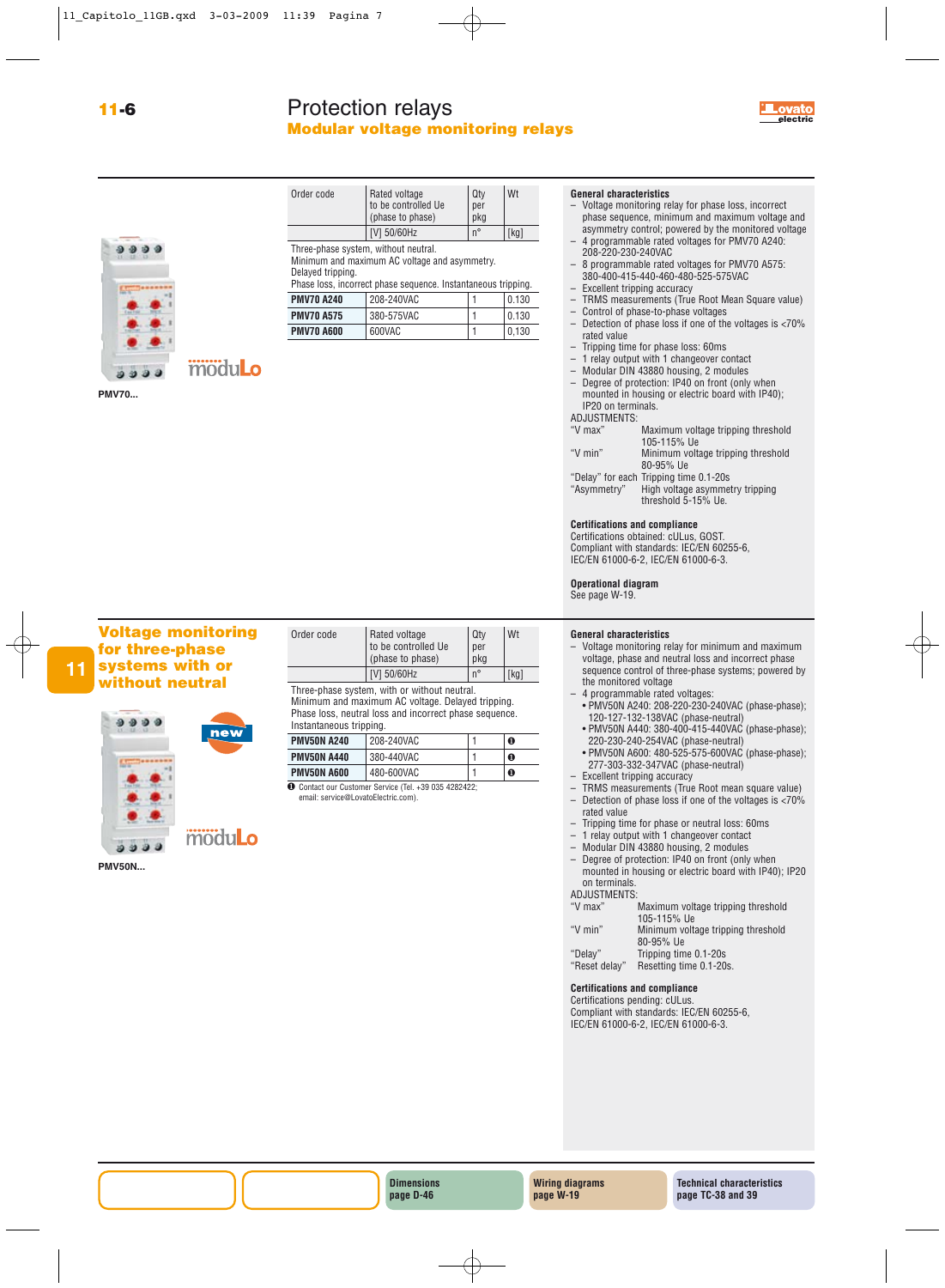$\mathbf{a}$ 

# **11-6** Protection relays **Execute 2 electric Modular voltage monitoring relays**



| Order code | Rated voltage<br>to be controlled Ue<br>(phase to phase) | Qtv<br>per<br>pkg | Wt   |
|------------|----------------------------------------------------------|-------------------|------|
|            | [V] 50/60Hz                                              | $n^{\circ}$       | [kg] |

#### Three-phase system, without neutral.

Minimum and maximum AC voltage and asymmetry. Delayed tripping.

| Phase loss, incorrect phase sequence. Instantaneous tripping. |            |  |       |
|---------------------------------------------------------------|------------|--|-------|
| <b>PMV70 A240</b>                                             | 208-240VAC |  | 0.130 |
| <b>PMV70 A575</b>                                             | 380-575VAC |  | 0.130 |
| <b>PMV70 A600</b>                                             | 600VAC     |  | 0.130 |

 $-49$ **PMV70...**

# moduLo

**General characteristics**

- Voltage monitoring relay for phase loss, incorrect phase sequence, minimum and maximum voltage and asymmetry control; powered by the monitored voltage – 4 programmable rated voltages for PMV70 A240:
- 208-220-230-240VAC
- 8 programmable rated voltages for PMV70 A575: 380-400-415-440-460-480-525-575VAC
- Excellent tripping accuracy
- $-$  TRMS measurements (True Root Mean Square value)<br> $-$  Control of phase-to-phase voltages
- Control of phase-to-phase voltages
- Detection of phase loss if one of the voltages is <70% rated value
- Tripping time for phase loss: 60ms
- 1 relay output with 1 changeover contact
- Modular DIN 43880 housing, 2 modules
- Degree of protection: IP40 on front (only when mounted in housing or electric board with IP40); IP20 on terminals.

#### ADJUSTMENTS:

| "V max"     | Maximum voltage tripping threshold     |
|-------------|----------------------------------------|
|             | 105-115% Ue                            |
| "V min"     | Minimum voltage tripping threshold     |
|             | 80-95% Ue                              |
|             | "Delay" for each Tripping time 0.1-20s |
| "Asymmetry" | High voltage asymmetry tripping        |
|             | threshold 5-15% Ue.                    |

#### **Certifications and compliance**

Certifications obtained: cULus, GOST. Compliant with standards: IEC/EN 60255-6, IEC/EN 61000-6-2, IEC/EN 61000-6-3.

**Operational diagram**

See page W-19.

#### **General characteristics**

- Voltage monitoring relay for minimum and maximum voltage, phase and neutral loss and incorrect phase sequence control of three-phase systems; powered by the monitored voltage
- 4 programmable rated voltages:
- PMV50N A240: 208-220-230-240VAC (phase-phase); 120-127-132-138VAC (phase-neutral)
- PMV50N A440: 380-400-415-440VAC (phase-phase); 220-230-240-254VAC (phase-neutral)
- PMV50N A600: 480-525-575-600VAC (phase-phase); 277-303-332-347VAC (phase-neutral)
- Excellent tripping accuracy
- TRMS measurements (True Root mean square value) – Detection of phase loss if one of the voltages is <70%
- rated value
- Tripping time for phase or neutral loss: 60ms
- 1 relay output with 1 changeover contact
- 
- Modular DIN 43880 housing, 2 modules – Degree of protection: IP40 on front (only when
- mounted in housing or electric board with IP40); IP20 on terminals. ADJUSTMENTS:

| "V max" | Maximum voltage tripping threshold |
|---------|------------------------------------|
|         | 105-115% Ue                        |
| "V min" | Minimum voltage tripping threshold |
|         | 80-95% Ue                          |
| "Delay" | Tripping time 0.1-20s              |

| "Delay"       | Tripping time 0.1-20s   |
|---------------|-------------------------|
| "Reset delay" | Resetting time 0.1-20s. |

#### **Certifications and compliance**

Certifications pending: cULus. Compliant with standards: IEC/EN 60255-6, IEC/EN 61000-6-2, IEC/EN 61000-6-3.

#### **Voltage monitoring for three-phase systems with or without neutral 11**



to be controlled Ue  $\left[\begin{array}{cc} \text{per} \\ \text{p} \text{er} \end{array}\right]$ (phase to phase)  $[V]$  50/60Hz  $n^{\circ}$  [kg] Three-phase system, with or without neutral. Minimum and maximum AC voltage. Delayed tripping.

Order code Rated voltage  $\vert$  Qty  $\vert$  Wt

Phase loss, neutral loss and incorrect phase sequence. Instantaneous tripping.

| <b>PMV50N A240</b>                                           | 208-240VAC |  | $\bullet$ |
|--------------------------------------------------------------|------------|--|-----------|
| <b>PMV50N A440</b>                                           | 380-440VAC |  | $\bf{0}$  |
| PMV50N A600                                                  | 480-600VAC |  | $\bf{0}$  |
| <b>O</b> Contact our Customer Service (Tel. +39 035 4282422; |            |  |           |

email: service@LovatoElectric.com)

#### **Dimensions page D-46**

**PMV50N...**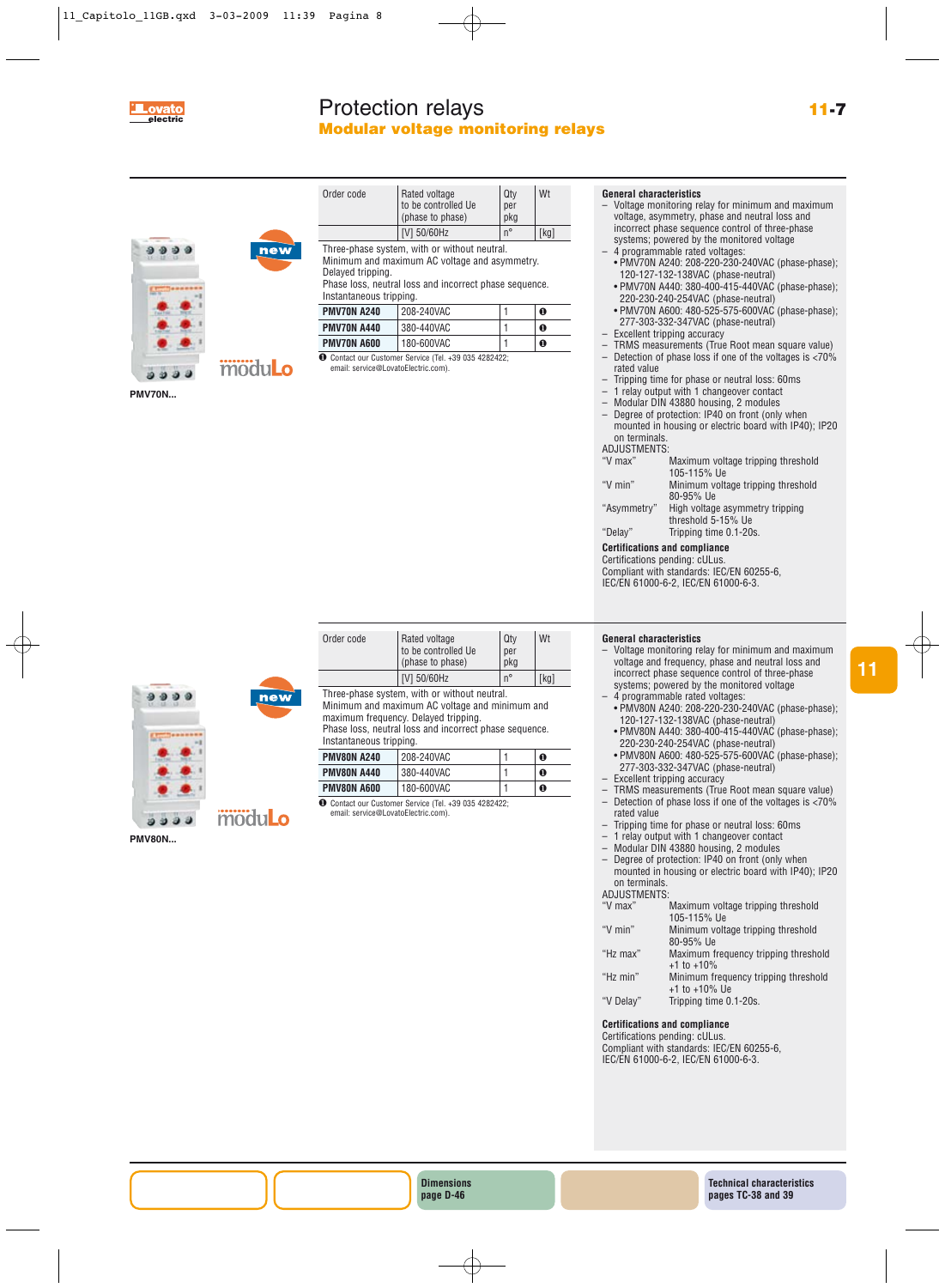

# Protection relays **Modular voltage monitoring relays**

to be controlled Ue per<br>
(phase to phase) pkg (phase to phase)

 $[V]$  50/60Hz  $n^{\circ}$  [kg]



| $max_{11}$ |  |
|------------|--|

|  | м |         |  |
|--|---|---------|--|
|  |   | ۰.<br>× |  |

| moduLo |
|--------|

| Phase loss, neutral<br>Instantaneous tripp |  |
|--------------------------------------------|--|
| <b>PMV70N A240</b>                         |  |
| <b>PMV70N A440</b>                         |  |

| moduLo |  |
|--------|--|

| Instantaneous tripping. |                                                        |  |
|-------------------------|--------------------------------------------------------|--|
|                         | Phase loss, neutral loss and incorrect phase sequence. |  |
| Delayed tripping.       |                                                        |  |

Three-phase system, with or without neutral. Minimum and maximum AC voltage and asymmetry.

| <b>PMV70N A240</b> | 208-240VAC | 0 |
|--------------------|------------|---|
| <b>PMV70N A440</b> | 380-440VAC | 0 |
| PMV70N A600        | 180-600VAC | 0 |
|                    |            |   |

Order code Rated voltage Qty Wt

❶ Contact our Customer Service (Tel. +39 035 4282422; email: service@LovatoElectric.com).

#### **General characteristics**

- Voltage monitoring relay for minimum and maximum voltage, asymmetry, phase and neutral loss and incorrect phase sequence control of three-phase systems; powered by the monitored voltage
- 4 programmable rated voltages: • PMV70N A240: 208-220-230-240VAC (phase-phase);
	- 120-127-132-138VAC (phase-neutral)
- PMV70N A440: 380-400-415-440VAC (phase-phase); 220-230-240-254VAC (phase-neutral)
- PMV70N A600: 480-525-575-600VAC (phase-phase); 277-303-332-347VAC (phase-neutral)
- Excellent tripping accuracy
- TRMS measurements (True Root mean square value) – Detection of phase loss if one of the voltages is <70% rated value
- Tripping time for phase or neutral loss: 60ms
- 1 relay output with 1 changeover contact
- Modular DIN 43880 housing, 2 modules
- Degree of protection: IP40 on front (only when mounted in housing or electric board with IP40); IP20 on terminals.

"V max" Maximum voltage tripping threshold

## ADJUSTMENTS:

| V III A     | <b>Maximum voltage tripping threshold</b> |
|-------------|-------------------------------------------|
|             | 105-115% Ue                               |
| "V min"     | Minimum voltage tripping threshold        |
|             | 80-95% Lle                                |
| "Asymmetry" | High voltage asymmetry tripping           |
|             | threshold 5-15% Ue                        |
| "Delay"     | Tripping time 0.1-20s.                    |
|             |                                           |

#### **Certifications and compliance**

Certifications pending: cULus. Compliant with standards: IEC/EN 60255-6, IEC/EN 61000-6-2, IEC/EN 61000-6-3.

#### **General characteristics**

- Voltage monitoring relay for minimum and maximum voltage and frequency, phase and neutral loss and incorrect phase sequence control of three-phase systems; powered by the monitored voltage
- 4 programmable rated voltages:
	- PMV80N A240: 208-220-230-240VAC (phase-phase); 120-127-132-138VAC (phase-neutral)
- PMV80N A440: 380-400-415-440VAC (phase-phase); 220-230-240-254VAC (phase-neutral)
- PMV80N A600: 480-525-575-600VAC (phase-phase); 277-303-332-347VAC (phase-neutral)
- Excellent tripping accuracy
- TRMS measurements (True Root mean square value) – Detection of phase loss if one of the voltages is <70%
- rated value
- Tripping time for phase or neutral loss: 60ms
- 1 relay output with 1 changeover contact
- Modular DIN 43880 housing, 2 modules
- Degree of protection: IP40 on front (only when mounted in housing or electric board with IP40); IP20 on terminals.

#### ADJUSTMENTS:

| Maximum voltage tripping threshold   |
|--------------------------------------|
| 105-115% Ue                          |
| Minimum voltage tripping threshold   |
| 80-95% Ue                            |
| Maximum frequency tripping threshold |
| $+1$ to $+10\%$                      |
| Minimum frequency tripping threshold |
| $+1$ to $+10\%$ Ue                   |
| Tripping time 0.1-20s.               |
|                                      |

#### **Certifications and compliance**

Certifications pending: cULus. Compliant with standards: IEC/EN 60255-6, IEC/EN 61000-6-2, IEC/EN 61000-6-3.

|               | new    |
|---------------|--------|
| œ             |        |
|               | moduLo |
| <b>PMV80N</b> |        |

| Order code | Rated voltage<br>to be controlled Ue<br>(phase to phase) | Qty<br>per<br>pkg | Wt   |
|------------|----------------------------------------------------------|-------------------|------|
|            | [V] 50/60Hz                                              | $n^{\circ}$       | [ka] |

Three-phase system, with or without neutral. Minimum and maximum AC voltage and minimum and

maximum frequency. Delayed tripping.

Phase loss, neutral loss and incorrect phase sequence. Instantaneous tripping.

| <b>PMV80N A240</b> | 208-240VAC | O |
|--------------------|------------|---|
| PMV80N A440        | 380-440VAC | O |
| PMV80N A600        | 180-600VAC | O |
| __                 | __         |   |

Contact our Customer Service (Tel. +39 035 4282422

email: service@LovatoElectric.com).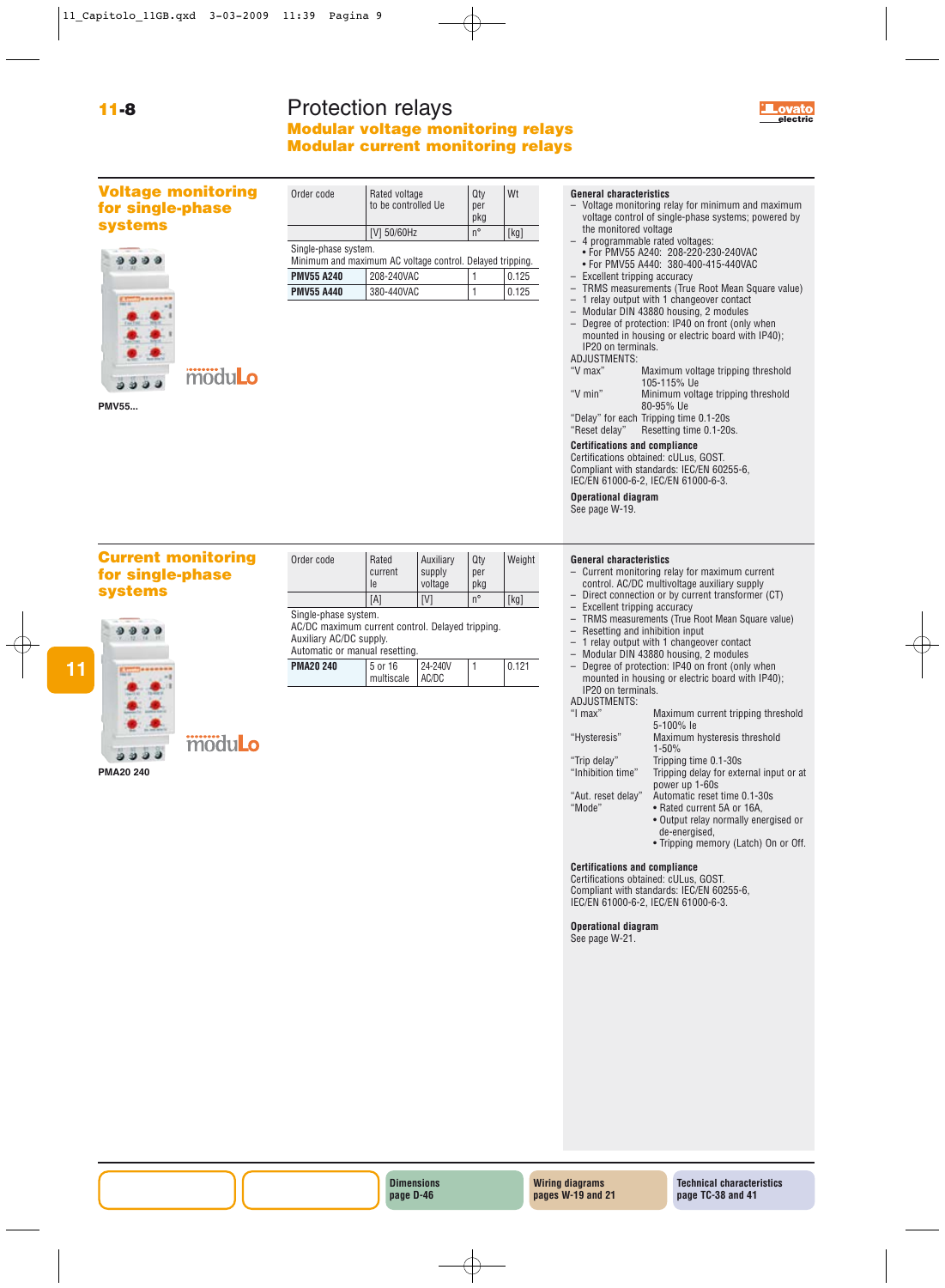# **11-8** Protection relays **electric**<br> **11-8** electric protection relays **Modular voltage monitoring relays Modular current monitoring relays**



## **Voltage monitoring for single-phase systems**



#### **PMV55...**

#### Order code Rated voltage and Russell Qty Wt to be controlled  $\overline{u}$  per pkg [V] 50/60Hz n° [kg] Single-phase system

| UITUIU DHUJU JYJIUIII.<br>Minimum and maximum AC voltage control. Delayed tripping. |                   |            |  |       |  |
|-------------------------------------------------------------------------------------|-------------------|------------|--|-------|--|
|                                                                                     | <b>PMV55 A240</b> | 208-240VAC |  | 0.125 |  |
|                                                                                     | <b>PMV55 A440</b> | 380-440VAC |  | 0.125 |  |

#### **General characteristics**

- Voltage monitoring relay for minimum and maximum voltage control of single-phase systems; powered by the monitored voltage
- 4 programmable rated voltages:
- For PMV55 A240: 208-220-230-240VAC
- For PMV55 A440: 380-400-415-440VAC
- Excellent tripping accuracy
- TRMS measurements (True Root Mean Square value)<br>- 1 relay output with 1 changeover contact
- $-1$  relay output with 1 changeover contact<br> $-$  Modular DIN 43880 housing 2 modules – Modular DIN 43880 housing, 2 modules
- Degree of protection: IP40 on front (only when mounted in housing or electric board with IP40);

#### IP20 on terminals. ADJUSTMENTS:

| .       |                                    |  |  |
|---------|------------------------------------|--|--|
| "V max" | Maximum voltage tripping threshold |  |  |
|         | 105-115% Ue                        |  |  |

"V min" Minimum voltage tripping threshold 80-95% Ue

"Delay" for each Tripping time 0.1-20s

"Reset delay" Resetting time 0.1-20s.

#### **Certifications and compliance** Certifications obtained: cULus, GOST.

Compliant with standards: IEC/EN 60255-6, IEC/EN 61000-6-2, IEC/EN 61000-6-3.

**Operational diagram**

See page W-19.

## **Current monitoring for single-phase systems**

| $\frac{1}{2}$<br>ł<br>e, | e.     |  |
|--------------------------|--------|--|
|                          |        |  |
|                          |        |  |
| ۰                        | ٠<br>۰ |  |

| ทา<br>ററ<br>٠<br>m |  |
|--------------------|--|

#### moqulo  $0.999$

**PMA20 240**

 $9999$ 

#### Order code Rated Auxiliary Oty Weight current supply per le voltage pkg  $[R]$   $[V]$   $[n^{\circ}$   $[kg]$

Single-phase system.

AC/DC maximum current control. Delayed tripping. Auxiliary AC/DC supply.

| Automatic or manual resetting. |  |                  |            |         |  |            |
|--------------------------------|--|------------------|------------|---------|--|------------|
|                                |  | <b>PMA20 240</b> | 5 or 16    | 24-240V |  | $0.12^{1}$ |
|                                |  |                  | multiscale | AC/DC   |  |            |

#### **General characteristics**

- Current monitoring relay for maximum current control. AC/DC multivoltage auxiliary supply
- Direct connection or by current transformer (CT)
- Excellent tripping accuracy
- TRMS measurements (True Root Mean Square value)
- Resetting and inhibition input<br>  $-1$  relay output with 1 changeo
- $-1$  relay output with 1 changeover contact<br> $-$  Modular DIN 43880 bousing 2 modules
- Modular DIN 43880 housing, 2 modules
- Degree of protection: IP40 on front (only when mounted in housing or electric board with IP40); IP20 on terminals.

ADJUSTMENTS: "I max"

| "I max"      | Maximum current tripping threshold |
|--------------|------------------------------------|
|              | $5-100%$ le                        |
| "Hysteresis" | Maximum hysteresis threshold       |

| $\cdots$ |  |  |       |  |
|----------|--|--|-------|--|
|          |  |  | 1-50% |  |
|          |  |  |       |  |

"Trip delay" Tripping time 0.1-30s

"Inhibition time" Tripping delay for external input or at power up 1-60s

"Aut. reset delay" Automatic reset time 0.1-30s • Rated current 5A or 16A,

- Output relay normally energised or de-energised,
- Tripping memory (Latch) On or Off.

**Certifications and compliance**

Certifications obtained: cULus, GOST. Compliant with standards: IEC/EN 60255-6, IEC/EN 61000-6-2, IEC/EN 61000-6-3.

**Operational diagram** See page W-21.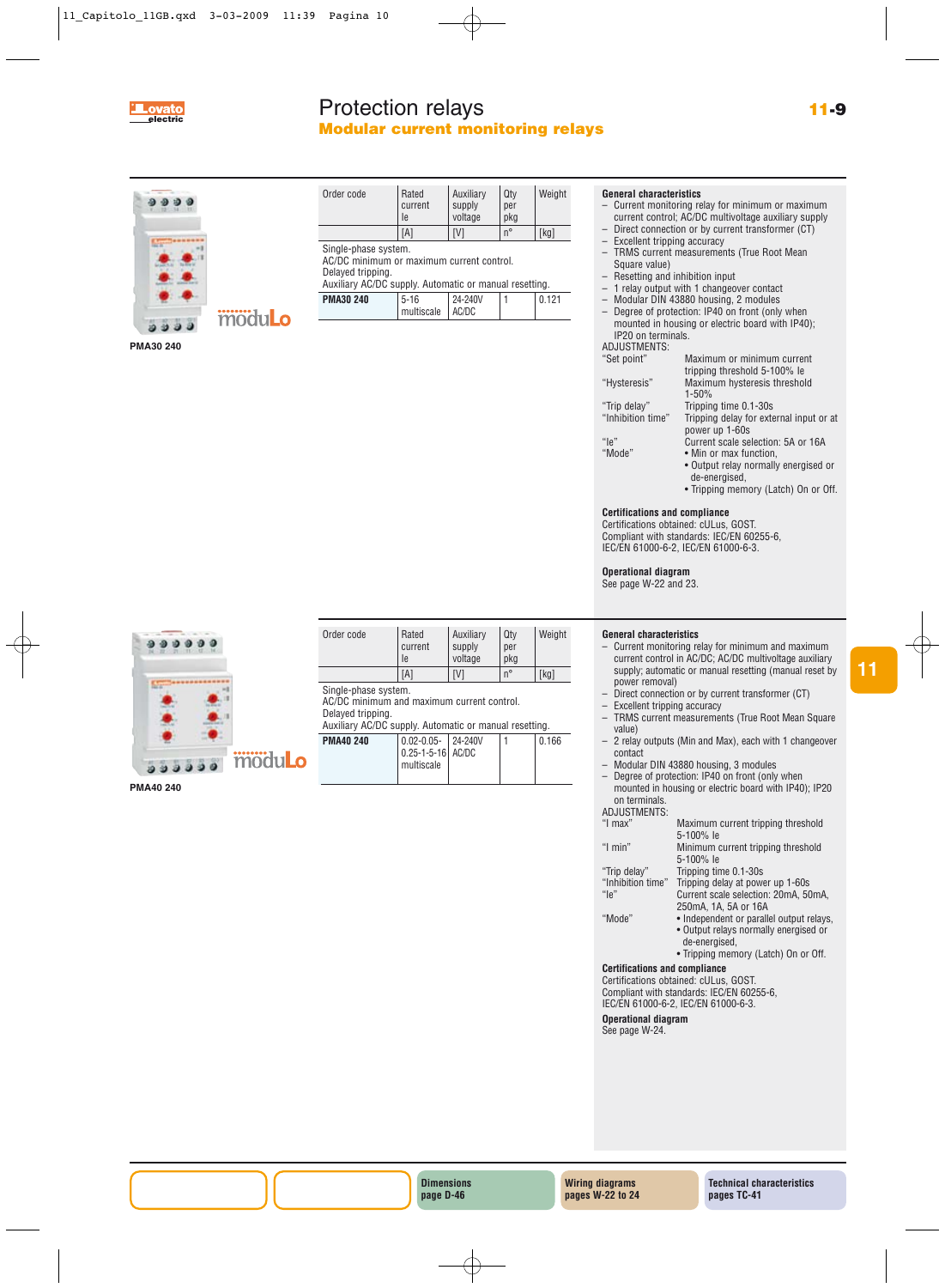

# Protection relays **11-9 electric Modular current monitoring relays**



**PMA30 240**

| Order code | Rated<br>current<br><b>le</b> | Auxiliary<br>supply<br>voltage | Qty<br>per<br>pkg | Weight |
|------------|-------------------------------|--------------------------------|-------------------|--------|
|            | [A]                           | [V]                            | $n^{\circ}$       | [kg]   |

Single-phase system. AC/DC minimum or maximum current control.

Delayed tripping.

Auxiliary AC/DC supply. Automatic or manual resetting.

| <b>PMA30 240</b> | $5 - 16$<br>multiscale | 24-240V<br>AC/DC |  |
|------------------|------------------------|------------------|--|
|                  |                        |                  |  |

#### **General characteristics**

- Current monitoring relay for minimum or maximum current control; AC/DC multivoltage auxiliary supply
- Direct connection or by current transformer (CT)<br>– Excellent tripping accuracy – Excellent tripping accuracy
- TRMS current measurements (True Root Mean Square value)
- Resetting and inhibition input
- 
- $-1$  relay output with 1 changeover contact<br> $-$  Modular DIN 43880 bousing 2 modules – Modular DIN 43880 housing, 2 modules<br>– Degree of protection: IP40 on front (only
- Degree of protection: IP40 on front (only when mounted in housing or electric board with IP40); IP20 on terminals.

#### ADJUSTMENTS:

| "Set point"       | Maximum or minimum current                            |
|-------------------|-------------------------------------------------------|
|                   | tripping threshold 5-100% le                          |
| "Hysteresis"      | Maximum hysteresis threshold                          |
|                   | $1 - 50%$                                             |
| "Trip delay"      | Tripping time 0.1-30s                                 |
| "Inhibition time" | Tripping delay for external input or at               |
|                   | power up 1-60s                                        |
| "le"              | Current scale selection: 5A or 16A                    |
| "Mode"            | • Min or max function,                                |
|                   | • Output relay normally energised or<br>de energiacal |

- de-energised, • Tripping memory (Latch) On or Off.
- 

#### **Certifications and compliance**

Certifications obtained: cULus, GOST. Compliant with standards: IEC/EN 60255-6, IEC/EN 61000-6-2, IEC/EN 61000-6-3.

#### **Operational diagram**

See page W-22 and 23.

#### **General characteristics**

- Current monitoring relay for minimum and maximum current control in AC/DC; AC/DC multivoltage auxiliary supply; automatic or manual resetting (manual reset by power removal)
- $-$  Direct connection or by current transformer (CT)<br> $-$  Excellent tripping accuracy
- Excellent tripping accuracy
- TRMS current measurements (True Root Mean Square value)
- 2 relay outputs (Min and Max), each with 1 changeover contact
- Modular DIN 43880 housing, 3 modules
- Degree of protection: IP40 on front (only when mounted in housing or electric board with IP40); IP20

| Maximum current tripping threshold<br>5-100% le      |
|------------------------------------------------------|
| Minimum current tripping threshold<br>$5 - 100\%$ le |
| Tripping time 0.1-30s                                |
| Tripping delay at power up 1-60s                     |
| Current scale selection: 20mA, 50mA.                 |
| 250mA, 1A, 5A or 16A                                 |
|                                                      |

"Mode" • Independent or parallel output relays, • Output relays normally energised or de-energised,

• Tripping memory (Latch) On or Off.

#### **Certifications and compliance**

Certifications obtained: cULus, GOST. Compliant with standards: IEC/EN 60255-6, IEC/EN 61000-6-2, IEC/EN 61000-6-3.

**Operational diagram** See page W-24.

# $99999$

#### moduLo  $999$

**PMA40 240**

| Order code                                                                              | Rated<br>current<br>le | Auxiliary<br>supply<br>voltage | Qty<br>per<br>pkg | Weight |
|-----------------------------------------------------------------------------------------|------------------------|--------------------------------|-------------------|--------|
|                                                                                         | [A]                    | [V]                            | $n^{\circ}$       | [kg]   |
| Single-phase system.<br>AC/DC minimum and maximum current control.<br>Delayed tripping. |                        |                                |                   |        |

Auxiliary AC/DC supply. Automatic or manual resetting.

| AUXINALY AU/DU SUPPIV. AULOINALIC OF HIAHUAI RESELUING. |                                                         |  |  |       |
|---------------------------------------------------------|---------------------------------------------------------|--|--|-------|
| <b>PMA40 240</b>                                        | 0.02-0.05-   24-240V<br>0.25-1-5-16 AC/DC<br>multiscale |  |  | 0.166 |
|                                                         |                                                         |  |  |       |

**11**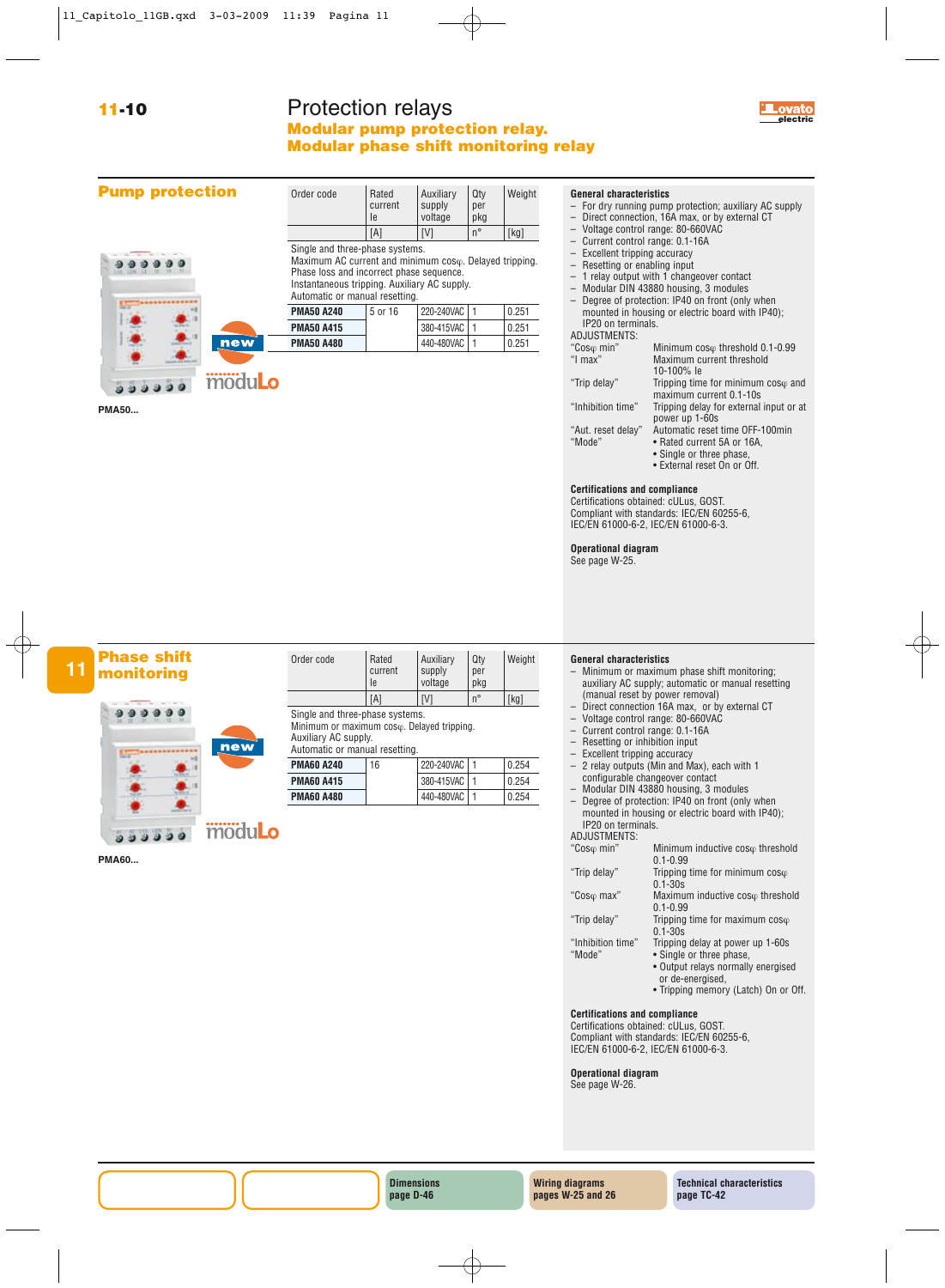# **11-10** Protection relays **example 11-10 electric Modular pump protection relay. Modular phase shift monitoring relay**



| <b>Pump protection</b> | Order code                                                                                                                                                                                                              | Rated<br>current<br>le | Auxiliary<br>supply<br>voltage | Qty<br>per<br>pkg | Weight |
|------------------------|-------------------------------------------------------------------------------------------------------------------------------------------------------------------------------------------------------------------------|------------------------|--------------------------------|-------------------|--------|
|                        |                                                                                                                                                                                                                         | [A]                    | [V]                            | $n^{\circ}$       | [kg]   |
|                        | Single and three-phase systems.<br>Maximum AC current and minimum coso. Delayed tripping.<br>Phase loss and incorrect phase sequence.<br>Instantaneous tripping. Auxiliary AC supply.<br>Automatic or manual resetting. |                        |                                |                   |        |
|                        | <b>PMA50 A240</b>                                                                                                                                                                                                       | 5 or 16                | 220-240VAC                     |                   | 0.251  |
|                        | <b>PMA50 A415</b>                                                                                                                                                                                                       |                        | 380-415VAC                     |                   | 0.251  |
| new                    | <b>PMA50 A480</b>                                                                                                                                                                                                       |                        | 440-480VAC                     | 1                 | 0.251  |
| moduLo                 |                                                                                                                                                                                                                         |                        |                                |                   |        |

#### **PMA50...**

#### **General characteristics**

- For dry running pump protection; auxiliary AC supply<br>
 Direct connection, 16A may or by external CT
- Direct connection, 16A max, or by external CT<br>– Voltage control range:  $80 660$ VAC
- Voltage control range: 80-660VAC
- Current control range: 0.1-16A
- Excellent tripping accuracy
- Resetting or enabling input
- $-$  1 relay output with 1 changeover contact<br> $-$  Modular DIN 43880 bousing 3 modules
- Modular DIN 43880 housing, 3 modules
- Degree of protection: IP40 on front (only when mounted in housing or electric board with IP40); IP20 on terminals.

ADJUSTMENTS:<br>"Cos<sub>®</sub> min"

"Cos $\varphi$  min" Minimum cos $\varphi$  threshold 0.1-0.99<br>"I max" Maximum current threshold Maximum current threshold 10-100% Ie "Trip delay" Tripping time for minimum  $cos\varphi$  and maximum current 0.1-10s "Inhibition time" Tripping delay for external input or at

- power up 1-60s "Aut. reset delay" Automatic reset time OFF-100min
	- Rated current 5A or 16A.
	- Single or three phase.
	- External reset On or Off.

#### **Certifications and compliance**

Certifications obtained: cULus, GOST. Compliant with standards: IEC/EN 60255-6, IEC/EN 61000-6-2, IEC/EN 61000-6-3.

**Operational diagram** See page W-25.

**11 monitoring**  $999999$ new modulo  $000000$ 

**Phase shift**

**PMA60...**

| $n^{\circ}$<br>[kg]<br>[V]<br>[A]<br>Single and three-phase systems.<br>Minimum or maximum coso. Delayed tripping.<br>Auxiliary AC supply.<br>Automatic or manual resetting. | .<br>current<br>le. | .<br>supply<br>voltage | $\sim$<br>per<br>pkg |  |
|------------------------------------------------------------------------------------------------------------------------------------------------------------------------------|---------------------|------------------------|----------------------|--|
|                                                                                                                                                                              |                     |                        |                      |  |
|                                                                                                                                                                              |                     |                        |                      |  |

Order code Rated Auxiliary Oty Weight

### **PMA60 A240** 16 220-240VAC 1 0.254 **PMA60 A415** 380-415VAC 1 0.254 **PMA60 A480** 440-480VAC 1 0.254

#### **General characteristics**

- Minimum or maximum phase shift monitoring; auxiliary AC supply; automatic or manual resetting (manual reset by power removal)
- Direct connection 16A max, or by external CT
- Voltage control range: 80-660VAC
- Current control range: 0.1-16A<br>– Resetting or inhibition input – Resetting or inhibition input
- 
- Excellent tripping accuracy – 2 relay outputs (Min and Max), each with 1
	- configurable changeover contact
- Modular DIN 43880 housing, 3 modules – Degree of protection: IP40 on front (only when mounted in housing or electric board with IP40); IP20 on terminals.

AD<br>"Co

| ADJUSTMENTS:           |                                        |
|------------------------|----------------------------------------|
| "Cosφ min"             | Minimum inductive coso threshold       |
|                        | $0.1 - 0.99$                           |
| "Trip delay"           | Tripping time for minimum $cos\varphi$ |
|                        | $0.1 - 30s$                            |
| "Cos <sub>o</sub> max" | Maximum inductive coso threshold       |
|                        | $0.1 - 0.99$                           |
| "Trip delay"           | Tripping time for maximum $cos\varphi$ |
|                        | $0.1 - 30s$                            |
| "Inhibition time"      | Tripping delay at power up 1-60s       |
| "Mode"                 | • Single or three phase,               |
|                        |                                        |

- Output relays normally energised or de-energised,
- Tripping memory (Latch) On or Off.

#### **Certifications and compliance**

Certifications obtained: cULus, GOST. Compliant with standards: IEC/EN 60255-6, IEC/EN 61000-6-2, IEC/EN 61000-6-3.

**Operational diagram**

See page W-26.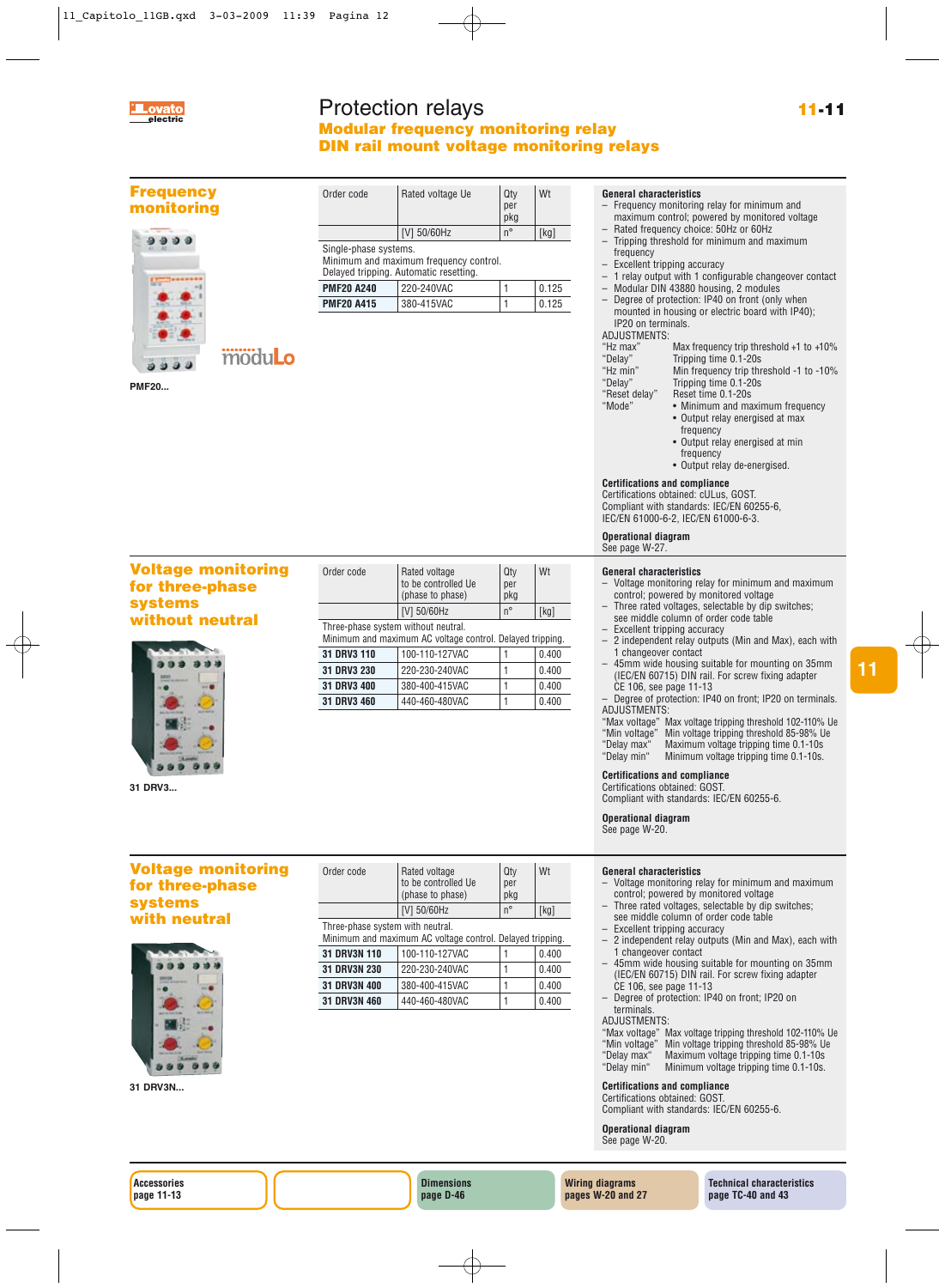

# Protection relays **Modular frequency monitoring relay DIN rail mount voltage monitoring relays**

[V] 50/60Hz  $n^{\circ}$  [kg]

per pkg

Order code Rated voltage Ue  $\Box$  Qty Wt

**PMF20 A240** 220-240VAC 1 0.125 **PMF20 A415** 380-415VAC 1 0.125

Minimum and maximum frequency control. Delayed tripping. Automatic resetting.

Single-phase systems.

### **Frequency monitoring**



# modulo

**PMF20...**

#### **Voltage monitoring for three-phase systems without neutral**



#### **31 DRV3...**

|                                                                                                  | to be controlled Ue<br>(phase to phase) | per<br>pkg  |      |  |
|--------------------------------------------------------------------------------------------------|-----------------------------------------|-------------|------|--|
|                                                                                                  | [V] 50/60Hz                             | $n^{\circ}$ | [kg] |  |
| Three-phase system without neutral.<br>Minimum and maximum AC voltage control. Delayed tripping. |                                         |             |      |  |
| <b>94 DDV9 440</b>                                                                               | 100 110 1071/AC                         |             |      |  |

 $\Omega$  Order code Rated voltage  $\Omega$  Oty Wt

| 31 DRV3 110        | 100-110-127VAC | 0.400 |
|--------------------|----------------|-------|
| <b>31 DRV3 230</b> | 220-230-240VAC | 0.400 |
| <b>31 DRV3 400</b> | 380-400-415VAC | 0.400 |
| <b>31 DRV3 460</b> | 440-460-480VAC | 0.400 |

#### **General characteristics**

- Frequency monitoring relay for minimum and maximum control; powered by monitored voltage
- Rated frequency choice: 50Hz or 60Hz – Tripping threshold for minimum and maximum
- frequency
- Excellent tripping accuracy
- 1 relay output with 1 configurable changeover contact
- Modular DIN 43880 housing, 2 modules
- Degree of protection: IP40 on front (only when mounted in housing or electric board with IP40); IP20 on terminals.
- ADJUSTMENTS:<br>"Hz may"
- "Hz max" Max frequency trip threshold +1 to +10% "Delay" Tripping time 0.1-20s
- "Hz min" Min frequency trip threshold -1 to -10%
- "Delay" Tripping time 0.1-20s "Reset delay" Reset time 0.1-20s
- 
- Minimum and maximum frequency • Output relay energised at max
- frequency
- Output relay energised at min frequency
- Output relay de-energised.

#### **Certifications and compliance**

Certifications obtained: cULus, GOST. Compliant with standards: IEC/EN 60255-6, IEC/EN 61000-6-2, IEC/EN 61000-6-3.

#### **Operational diagram** See page W-27.

#### **General characteristics**

- Voltage monitoring relay for minimum and maximum control; powered by monitored voltage
- Three rated voltages, selectable by dip switches;
- see middle column of order code table – Excellent tripping accuracy
- 
- 2 independent relay outputs (Min and Max), each with 1 changeover contact
- 45mm wide housing suitable for mounting on 35mm (IEC/EN 60715) DIN rail. For screw fixing adapter CE 106, see page 11-13

**11**

– Degree of protection: IP40 on front; IP20 on terminals. ADJUSTMENTS:

- "Max voltage" Max voltage tripping threshold 102-110% Ue
- "Min voltage" Min voltage tripping threshold 85-98% Ue
- "Delay max" Maximum voltage tripping time 0.1-10s Minimum voltage tripping time 0.1-10s.

#### **Certifications and compliance**

Certifications obtained: GOST. Compliant with standards: IEC/EN 60255-6.

**Operational diagram**

See page W-20.

#### **General characteristics**

- Voltage monitoring relay for minimum and maximum control; powered by monitored voltage
- 
- 
- 2 independent relay outputs (Min and Max), each with
- 45mm wide housing suitable for mounting on 35mm (IEC/EN 60715) DIN rail. For screw fixing adapter
- Degree of protection: IP40 on front; IP20 on terminals.
- ADJUSTMENTS:
- "Max voltage" Max voltage tripping threshold 102-110% Ue
- - Minimum voltage tripping time 0.1-10s.

Certifications obtained: GOST. Compliant with standards: IEC/EN 60255-6.

**Operational diagram**

See page W-20.

**Accessories page 11-13**

| <b>31 DRV3N 400</b> | 380-400-415VAC | 0.400 |
|---------------------|----------------|-------|
| <b>31 DRV3N 460</b> | 440-460-480VAC | 0.400 |
|                     |                |       |
|                     |                |       |
|                     |                |       |
|                     |                |       |

**Dimensions page D-46**

Minimum and maximum AC voltage control. Delayed tripping. **31 DRV3N 110** 100-110-127VAC 1 0.400 **31 DRV3N 230** 220-230-240VAC 1 0.400

to be controlled  $\bigcup_{p \in \mathbb{N}}$ (phase to phase) pkg  $[V]$  50/60Hz  $n^{\circ}$  [kg]

Three-phase system with neutral.

**Voltage monitoring for three-phase systems with neutral**



**31 DRV3N...**

**Wiring diagrams pages W-20 and 27**

**Technical characteristics page TC-40 and 43**

# Order code Rated voltage Qty Wt

- Three rated voltages, selectable by dip switches:
	- see middle column of order code table
	- Excellent tripping accuracy
	- 1 changeover contact
	- CE 106, see page 11-13
	-
	-

- "Min voltage" Min voltage tripping threshold 85-98% Ue "Delay max" Maximum voltage tripping time 0.1-10s
	-

## **Certifications and compliance**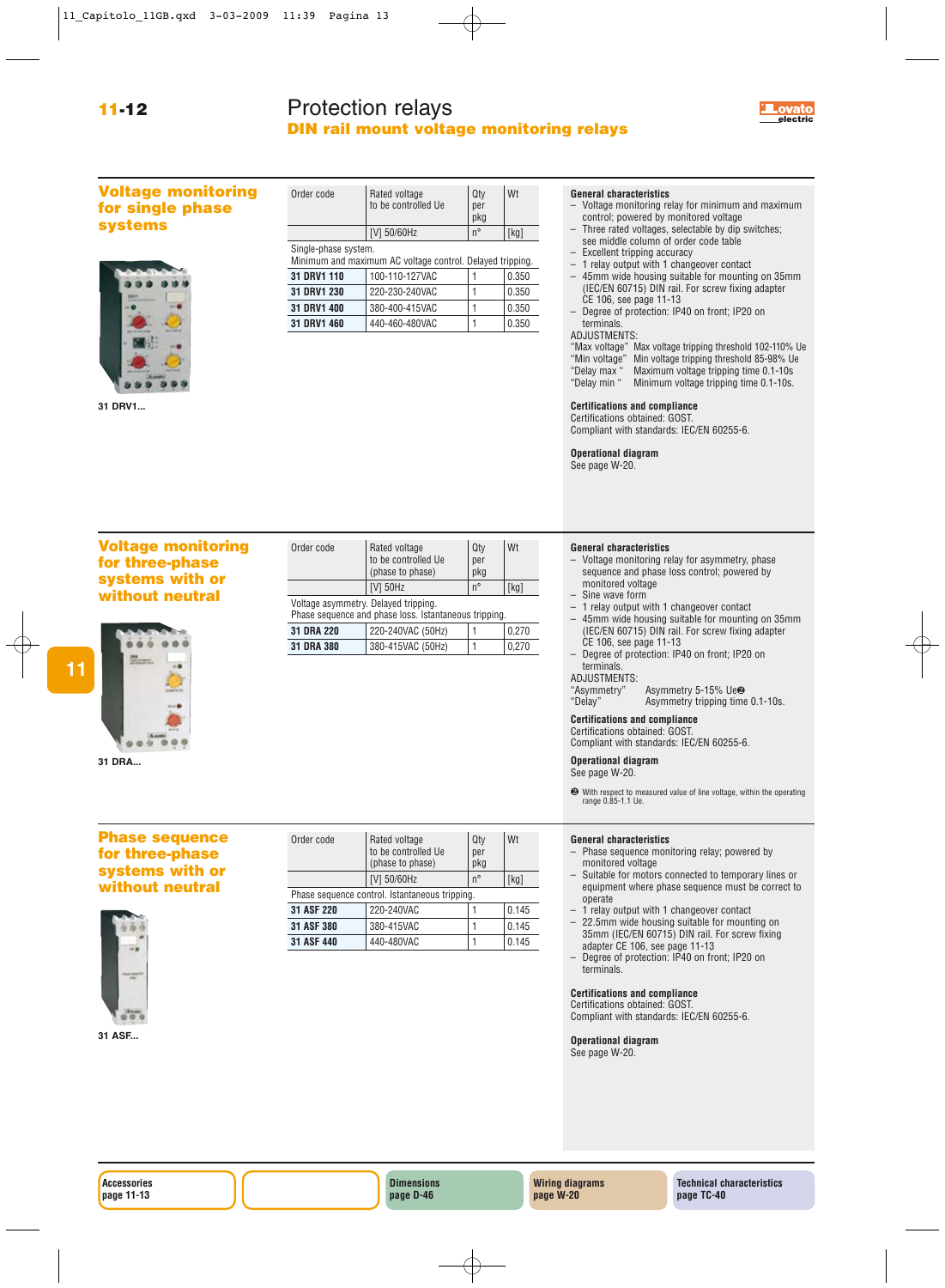# Protection relays **DIN rail mount voltage monitoring relays**



## **Voltage monitoring for single phase systems**



**31 DRV1...**

| Order code | Rated voltage<br>to be controlled Ue | Qtv<br>per<br>pkg | Wt   |
|------------|--------------------------------------|-------------------|------|
|            | [V] 50/60Hz                          | $n^{\circ}$       | [kg] |
|            |                                      |                   |      |

#### Single-phase system.

| Minimum and maximum AC voltage control. Delayed tripping. |                |  |       |
|-----------------------------------------------------------|----------------|--|-------|
| 31 DRV1 110                                               | 100-110-127VAC |  | 0.350 |
| 31 DRV1 230                                               | 220-230-240VAC |  | 0.350 |
| 31 DRV1 400                                               | 380-400-415VAC |  | 0.350 |
| 31 DRV1 460                                               | 440-460-480VAC |  | 0.350 |

Order code Rated voltage  $\vert$  Qty  $\vert$  Wt to be controlled  $\bigcup$   $\bigcap$   $\bigcap$ (phase to phase) pkg  $[V]$  50Hz  $n^{\circ}$  [kg]

Voltage asymmetry. Delayed tripping.

#### **General characteristics**

- Voltage monitoring relay for minimum and maximum control; powered by monitored voltage
- Three rated voltages, selectable by dip switches; see middle column of order code table
- $-$  Excellent tripping accuracy<br> $-$  1 relay output with 1 change
- $-1$  relay output with 1 changeover contact<br> $-45$ mm wide bousing suitable for mounting – 45mm wide housing suitable for mounting on 35mm (IEC/EN 60715) DIN rail. For screw fixing adapter
- CE 106, see page 11-13 – Degree of protection: IP40 on front; IP20 on terminals.

#### ADJUSTMENTS:

|               | "Max voltage" Max voltage tripping threshold 102-110% Ue |
|---------------|----------------------------------------------------------|
| "Min voltage" | Min voltage tripping threshold 85-98% Ue                 |
| "Delay max"   | Maximum voltage tripping time 0.1-10s                    |
| "Delay min"   | Minimum voltage tripping time 0.1-10s.                   |

#### **Certifications and compliance**

Certifications obtained: GOST. Compliant with standards: IEC/EN 60255-6.

**Operational diagram**

See page W-20.

## **Voltage monitoring for three-phase systems with or without neutral**

# **31 DRA...**

| Phase sequence and phase loss. Istantaneous tripping. |                   |  |       |
|-------------------------------------------------------|-------------------|--|-------|
| <b>31 DRA 220</b>                                     | 220-240VAC (50Hz) |  | 0,270 |
| <b>31 DRA 380</b>                                     | 380-415VAC (50Hz) |  | 0,270 |
|                                                       |                   |  |       |
|                                                       |                   |  |       |
|                                                       |                   |  |       |
|                                                       |                   |  |       |
|                                                       |                   |  |       |
|                                                       |                   |  |       |

#### **General characteristics**

- Voltage monitoring relay for asymmetry, phase sequence and phase loss control; powered by monitored voltage
- Sine wave form
- $-1$  relay output with 1 changeover contact<br> $-45$ mm wide bousing suitable for mounting
- 45mm wide housing suitable for mounting on 35mm (IEC/EN 60715) DIN rail. For screw fixing adapter CE 106, see page 11-13
- Degree of protection: IP40 on front; IP20 on terminals.

ADJUSTMENTS:<br>"Asymmetry" "Asymmetry" Asymmetry 5-15% Ue❷<br>"Delay" Asymmetry tripping time Asymmetry tripping time 0.1-10s.

#### **Certifications and compliance**

Certifications obtained: GOST.

Compliant with standards: IEC/EN 60255-6.

#### **Operational diagram**

See page W-20.

❷ With respect to measured value of line voltage, within the operating range 0.85-1.1 Ue.

#### **General characteristics**

- Phase sequence monitoring relay; powered by monitored voltage
- Suitable for motors connected to temporary lines or equipment where phase sequence must be correct to operate
- 1 relay output with 1 changeover contact – 22.5mm wide housing suitable for mounting on 35mm (IEC/EN 60715) DIN rail. For screw fixing
- adapter CE 106, see page 11-13 – Degree of protection: IP40 on front; IP20 on terminals.

#### **Certifications and compliance**

Certifications obtained: GOST. Compliant with standards: IEC/EN 60255-6.

**Operational diagram** See page W-20.

## **Phase sequence for three-phase systems with or without neutral**





Order code Rated voltage Qty Wt

**Wiring diagrams page W-20**

to be controlled Ue  $\left[\begin{array}{cc} 2.5 \\ per \end{array}\right]$ (phase to phase) [V]  $50/60$ Hz  $n^{\circ}$  [kg]